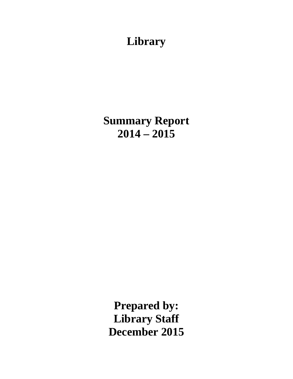# **Library**

**Summary Report 2014 – 2015**

**Prepared by: Library Staff December 2015**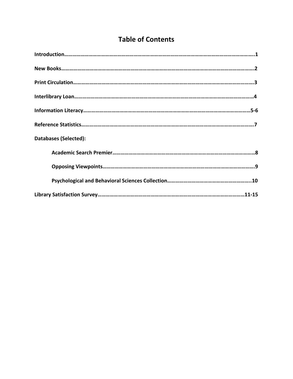## **Table of Contents**

| <b>Databases (Selected):</b> |
|------------------------------|
|                              |
|                              |
|                              |
|                              |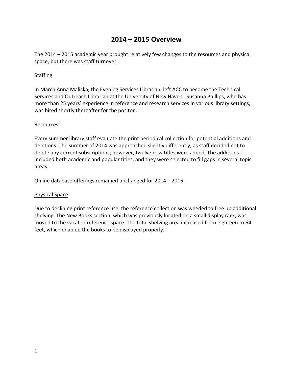### **2014 – 2015 Overview**

The 2014 – 2015 academic year brought relatively few changes to the resources and physical space, but there was staff turnover.

#### Staffing

In March Anna Malicka, the Evening Services Librarian, left ACC to become the Technical Services and Outreach Librarian at the University of New Haven. Susanna Phillips, who has more than 25 years' experience in reference and research services in various library settings, was hired shortly thereafter for the positon.

#### Resources

Every summer library staff evaluate the print periodical collection for potential additions and deletions. The summer of 2014 was approached slightly differently, as staff decided not to delete any current subscriptions; however, twelve new titles were added. The additions included both academic and popular titles, and they were selected to fill gaps in several topic areas.

Online database offerings remained unchanged for 2014 – 2015.

#### Physical Space

Due to declining print reference use, the reference collection was weeded to free up additional shelving. The New Books section, which was previously located on a small display rack, was moved to the vacated reference space. The total shelving area increased from eighteen to 54 feet, which enabled the books to be displayed properly.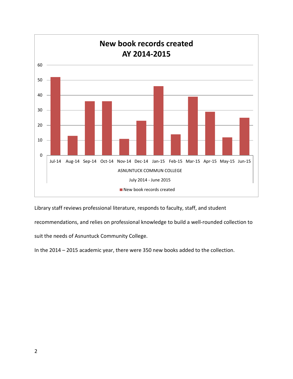

Library staff reviews professional literature, responds to faculty, staff, and student

recommendations, and relies on professional knowledge to build a well-rounded collection to

suit the needs of Asnuntuck Community College.

In the 2014 – 2015 academic year, there were 350 new books added to the collection.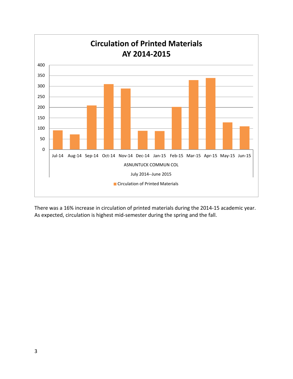

There was a 16% increase in circulation of printed materials during the 2014-15 academic year. As expected, circulation is highest mid-semester during the spring and the fall.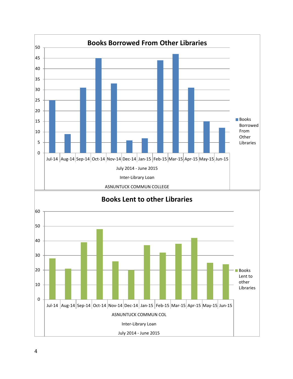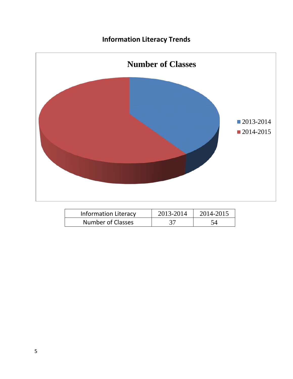## **Information Literacy Trends**



| <b>Information Literacy</b> | 2013-2014 | 2014-2015 |  |
|-----------------------------|-----------|-----------|--|
| <b>Number of Classes</b>    |           |           |  |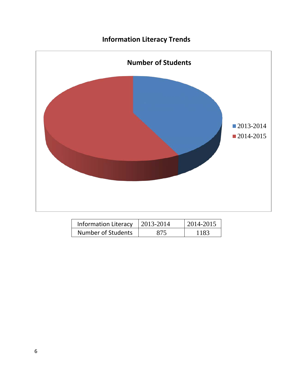## **Information Literacy Trends**



| <b>Information Literacy</b> | 2013-2014 | 2014-2015 |
|-----------------------------|-----------|-----------|
| Number of Students          | 875       | 1183      |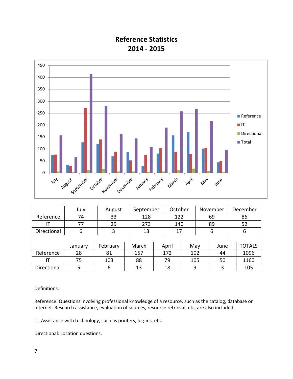### **Reference Statistics 2014 - 2015**



|             | July | August   | September | October | November | December |
|-------------|------|----------|-----------|---------|----------|----------|
| Reference   | 74   | າາ<br>ככ | 128       | 122     | 69       | 86       |
|             |      | 29       | 273       | 140     | 89       | ے ر      |
| Directional |      |          |           |         |          |          |

|             | Januarv | February | March | April | Mav | June | <b>TOTALS</b> |
|-------------|---------|----------|-------|-------|-----|------|---------------|
| Reference   | 28      | 81       | 157   | 172   | 102 | 44   | 1096          |
|             |         | 103      | 88    | 79    | 105 | 50   | 1160          |
| Directional |         |          | 13    | 18    |     |      | 105           |

Definitions:

Reference: Questions involving professional knowledge of a resource, such as the catalog, database or Internet. Research assistance, evaluation of sources, resource retrieval, etc, are also included.

IT: Assistance with technology, such as printers, log-ins, etc.

Directional: Location questions.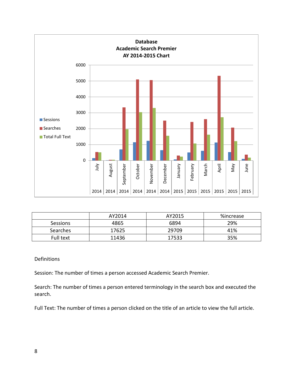

|           | AY2014 | AY2015 | %increase |
|-----------|--------|--------|-----------|
| Sessions  | 4865   | 6894   | 29%       |
| Searches  | 17625  | 29709  | 41%       |
| Full text | 11436  | 17533  | 35%       |

#### Definitions

Session: The number of times a person accessed Academic Search Premier.

Search: The number of times a person entered terminology in the search box and executed the search.

Full Text: The number of times a person clicked on the title of an article to view the full article.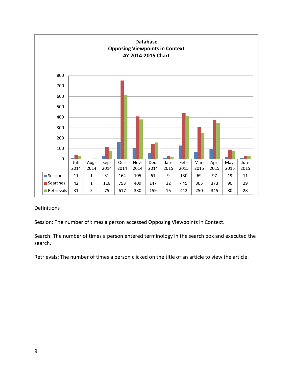

### Definitions

Session: The number of times a person accessed Opposing Viewpoints in Context.

Search: The number of times a person entered terminology in the search box and executed the search.

Retrievals: The number of times a person clicked on the title of an article to view the article.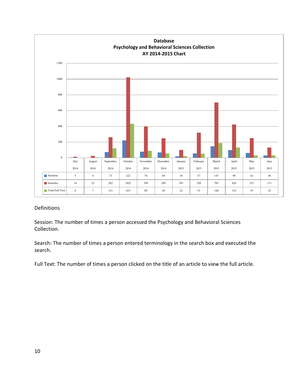

### Definitions

Session: The number of times a person accessed the Psychology and Behavioral Sciences Collection.

Search: The number of times a person entered terminology in the search box and executed the search.

Full Text: The number of times a person clicked on the title of an article to view the full article.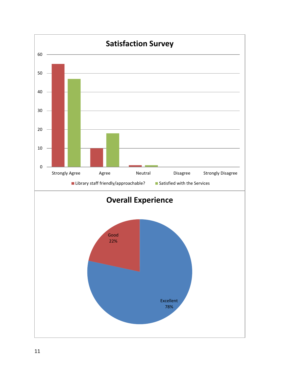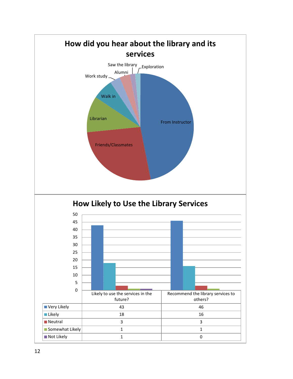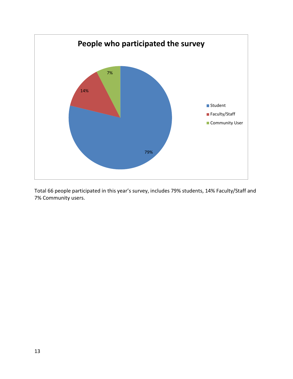

Total 66 people participated in this year's survey, includes 79% students, 14% Faculty/Staff and 7% Community users.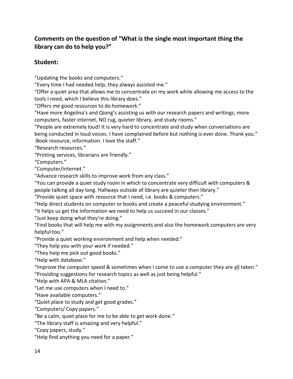### **Comments on the question of "What is the single most important thing the library can do to help you?"**

### **Student:**

"Updating the books and computers."

"Every time I had needed help, they always assisted me."

"Offer a quiet area that allows me to concentrate on my work while allowing me access to the tools I need, which I believe this library does."

"Offers me good resources to do homework."

"Have more Angelina's and Qiong's assisting us with our research papers and writings, more computers, faster internet, NO rug, quieter library, and study rooms."

"People are extremely loud! It is very hard to concentrate and study when conversations are being conducted in loud voices. I have complained before but nothing is ever done. Thank you." :Book resource, information. I love the staff."

"Research resources."

"Printing services, librarians are friendly."

"Computers."

"Computer/internet."

"Advance research skills to improve work from any class."

"You can provide a quiet study room in which to concentrate very difficult with computers & people talking all day long. Hallways outside of library are quieter then library."

"Provide quiet space with resource that I need, i.e. books & computers."

"Help direct students on computer or books and create a peaceful studying environment."

"It helps us get the information we need to help us succeed in our classes."

"Just keep doing what they're doing."

"Find books that will help me with my assignments and also the homework computers are very helpful too."

"Provide a quiet working environment and help when needed."

"They help you with your work if needed."

"They help me pick out good books."

"Help with database."

"Improve the computer speed & sometimes when I come to use a computer they are all taken." "Providing suggestions for research topics as well as just being helpful."

"Help with APA & MLA citation."

"Let me use computers when I need to."

"Have available computers."

"Quiet place to study and get good grades."

"Computers/ Copy papers."

"Be a calm, quiet place for me to be able to get work done."

"The library staff is amazing and very helpful."

"Copy papers, study."

"Help find anything you need for a paper."